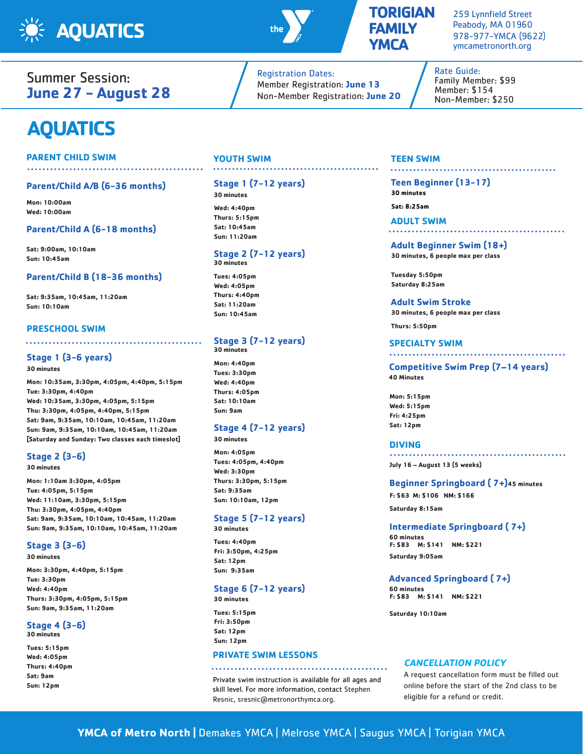



# **AQUATICS**

## **PARENT CHILD SWIM**

# **Parent/Child A/B (6-36 months)**

**Mon: 10:00am Wed: 10:00am**

#### **Parent/Child A (6-18 months)**

**Sat: 9:00am, 10:10am Sun: 10:45am**

#### **Parent/Child B (18-36 months)**

**Sat: 9:35am, 10:45am, 11:20am Sun: 10:10am**

#### **PRESCHOOL SWIM**

## **Stage 1 (3-6 years)**

**30 minutes**

**Mon: 10:35am, 3:30pm, 4:05pm, 4:40pm, 5:15pm Tue: 3:30pm, 4:40pm Wed: 10:35am, 3:30pm, 4:05pm, 5:15pm Thu: 3:30pm, 4:05pm, 4:40pm, 5:15pm Sat: 9am, 9:35am, 10:10am, 10:45am, 11:20am Sun: 9am, 9:35am, 10:10am, 10:45am, 11:20am [Saturday and Sunday: Two classes each timeslot]**

# **Stage 2 (3-6)**

**30 minutes**

**Mon: 1:10am 3:30pm, 4:05pm Tue: 4:05pm, 5:15pm Wed: 11:10am, 3:30pm, 5:15pm Thu: 3:30pm, 4:05pm, 4:40pm Sat: 9am, 9:35am, 10:10am, 10:45am, 11:20am Sun: 9am, 9:35am, 10:10am, 10:45am, 11:20am**

## **Stage 3 (3-6)**

**30 minutes**

**Mon: 3:30pm, 4:40pm, 5:15pm Tue: 3:30pm Wed: 4:40pm Thurs: 3:30pm, 4:05pm, 5:15pm Sun: 9am, 9:35am, 11:20am**

## **Stage 4 (3-6)**

**30 minutes Tues: 5:15pm** 

**Wed: 4:05pm Thurs: 4:40pm Sat: 9am Sun: 12pm**

#### **YOUTH SWIM**

# **Stage 1 (7-12 years)**

**30 minutes**

**Wed: 4:40pm Thurs: 5:15pm Sat: 10:45am Sun: 11:20am**

#### **Stage 2 (7-12 years) 30 minutes**

**Tues: 4:05pm Wed: 4:05pm Thurs: 4:40pm Sat: 11:20am Sun: 10:45am**

#### **Stage 3 (7-12 years) 30 minutes**

**Mon: 4:40pm Tues: 3:30pm Wed: 4:40pm Thurs: 4:05pm Sat: 10:10am Sun: 9am**

**30 minutes**

# **Stage 4 (7-12 years)**

**Mon: 4:05pm Tues: 4:05pm, 4:40pm Wed: 3:30pm Thurs: 3:30pm, 5:15pm Sat: 9:35am Sun: 10:10am, 12pm**

# **Stage 5 (7-12 years)**

**30 minutes**

**Tues: 4:40pm Fri: 3:50pm, 4:25pm Sat: 12pm Sun: 9:35am**

## **Stage 6 (7-12 years)**

**30 minutes Tues: 5:15pm**

**Fri: 3:50pm Sat: 12pm Sun: 12pm**

# **PRIVATE SWIM LESSONS**

Private swim instruction is available for all ages and skill level. For more information, contact Stephen Resnic, sresnic@metronorthymca.org.

# **TEEN SWIM**

**Teen Beginner (13-17) 30 minutes Sat: 8:25am**

.......................

**ADULT SWIM**

#### **Adult Beginner Swim (18+) 30 minutes, 6 people max per class**

**Tuesday 5:50pm Saturday 8:25am**

#### **Adult Swim Stroke**

**30 minutes, 6 people max per class**

**Thurs: 5:50pm**

#### **SPECIALTY SWIM**

**Competitive Swim Prep (7–14 years) 40 Minutes**

**Mon: 5:15pm Wed: 5:15pm Fri: 4:25pm Sat: 12pm**

#### **DIVING**

**July 16 – August 13 (5 weeks)**

#### **Beginner Springboard ( 7+)45 minutes**

**F: \$63 M: \$106 NM: \$166**

**Saturday 8:15am**

#### **Intermediate Springboard ( 7+)**

**60 minutes F: \$83 M: \$141 NM: \$221 Saturday 9:05am**

#### **Advanced Springboard ( 7+)**

**60 minutes F: \$83 M: \$141 NM: \$221**

**Saturday 10:10am**

#### **CANCELLATION POLICY**

A request cancellation form must be filled out online before the start of the 2nd class to be eligible for a refund or credit.

**FAMILY YMCA** Registration Dates:

**TORIGIAN**

259 Lynnfield Street Peabody, MA 01960 978-977-YMCA (9622) ymcametronorth.org

. . . . . . . . . . . . . . . . . .

. . . . . . . . . . . . . . . . .

Rate Guide: Family Member: \$99 Member: \$154 Non-Member: \$250



Member Registration: **June 13** Non-Member Registration: **June 20**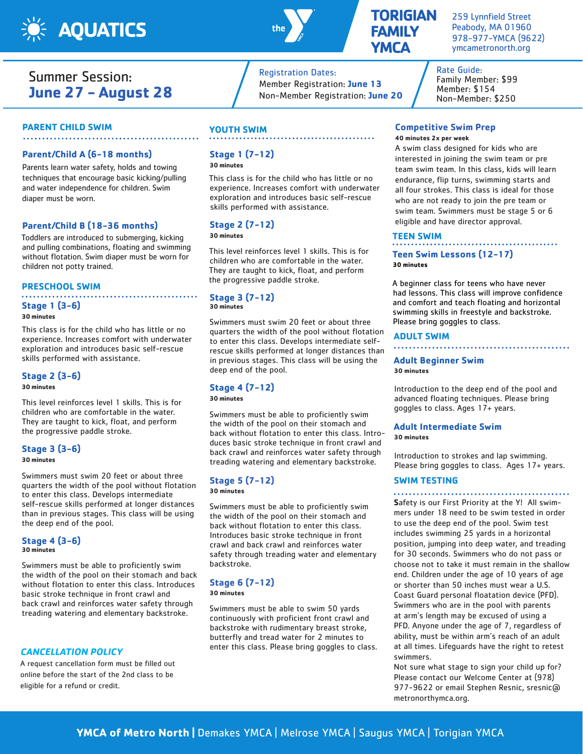

# Summer Session: **June 27 - August 28**

#### **PARENT CHILD SWIM**

#### **Parent/Child A (6-18 months)**

Parents learn water safety, holds and towing techniques that encourage basic kicking/pulling and water independence for children. Swim diaper must be worn.

#### **Parent/Child B (18-36 months)**

Toddlers are introduced to submerging, kicking and pulling combinations, floating and swimming without flotation. Swim diaper must be worn for children not potty trained.

#### **PRESCHOOL SWIM**

# **Stage 1 (3-6)**

#### **30 minutes**

This class is for the child who has little or no experience. Increases comfort with underwater exploration and introduces basic self-rescue skills performed with assistance.

#### **Stage 2 (3-6)**

#### **30 minutes**

This level reinforces level 1 skills. This is for children who are comfortable in the water. They are taught to kick, float, and perform the progressive paddle stroke.

#### **Stage 3 (3-6)**

**30 minutes**

Swimmers must swim 20 feet or about three quarters the width of the pool without flotation to enter this class. Develops intermediate self-rescue skills performed at longer distances than in previous stages. This class will be using the deep end of the pool.

# **Stage 4 (3-6)**

**30 minutes**

Swimmers must be able to proficiently swim the width of the pool on their stomach and back without flotation to enter this class. Introduces basic stroke technique in front crawl and back crawl and reinforces water safety through treading watering and elementary backstroke.

#### **CANCELLATION POLICY**

A request cancellation form must be filled out online before the start of the 2nd class to be eligible for a refund or credit.

# **YOUTH SWIM**

# **Stage 1 (7-12)**

**30 minutes**

This class is for the child who has little or no experience. Increases comfort with underwater exploration and introduces basic self-rescue skills performed with assistance.

Registration Dates:

Member Registration: **June 13** Non-Member Registration: **June 20**

## **Stage 2 (7-12)**

**30 minutes**

This level reinforces level 1 skills. This is for children who are comfortable in the water. They are taught to kick, float, and perform the progressive paddle stroke.

#### **Stage 3 (7-12) 30 minutes**

Swimmers must swim 20 feet or about three quarters the width of the pool without flotation to enter this class. Develops intermediate selfrescue skills performed at longer distances than in previous stages. This class will be using the deep end of the pool.

#### **Stage 4 (7-12)**

# **30 minutes**

Swimmers must be able to proficiently swim the width of the pool on their stomach and back without flotation to enter this class. Introduces basic stroke technique in front crawl and back crawl and reinforces water safety through treading watering and elementary backstroke.

#### **Stage 5 (7-12) 30 minutes**

Swimmers must be able to proficiently swim the width of the pool on their stomach and back without flotation to enter this class. Introduces basic stroke technique in front crawl and back crawl and reinforces water

# backstroke. **Stage 6 (7-12)**

**30 minutes**

Swimmers must be able to swim 50 yards continuously with proficient front crawl and backstroke with rudimentary breast stroke, butterfly and tread water for 2 minutes to enter this class. Please bring goggles to class.

safety through treading water and elementary

# **TORIGIAN FAMILY YMCA**

259 Lynnfield Street Peabody, MA 01960 978-977-YMCA (9622) ymcametronorth.org

Rate Guide: Family Member: \$99 Member: \$154 Non-Member: \$250

#### **Competitive Swim Prep 40 minutes 2x per week**

A swim class designed for kids who are interested in joining the swim team or pre team swim team. In this class, kids will learn endurance, flip turns, swimming starts and all four strokes. This class is ideal for those who are not ready to join the pre team or swim team. Swimmers must be stage 5 or 6 eligible and have director approval.

#### **TEEN SWIM**

**Teen Swim Lessons (12-17) 30 minutes**

A beginner class for teens who have never had lessons. This class will improve confidence and comfort and teach floating and horizontal swimming skills in freestyle and backstroke. Please bring goggles to class.

#### **ADULT SWIM**

#### **Adult Beginner Swim 30 minutes**

Introduction to the deep end of the pool and advanced floating techniques. Please bring goggles to class. Ages 17+ years.

#### **Adult Intermediate Swim 30 minutes**

Introduction to strokes and lap swimming. Please bring goggles to class. Ages 17+ years.

#### **SWIM TESTING**

**S**afety is our First Priority at the Y! All swimmers under 18 need to be swim tested in order to use the deep end of the pool. Swim test includes swimming 25 yards in a horizontal position, jumping into deep water, and treading for 30 seconds. Swimmers who do not pass or choose not to take it must remain in the shallow end. Children under the age of 10 years of age or shorter than 50 inches must wear a U.S. Coast Guard personal floatation device (PFD). Swimmers who are in the pool with parents at arm's length may be excused of using a PFD. Anyone under the age of 7, regardless of ability, must be within arm's reach of an adult at all times. Lifeguards have the right to retest swimmers.

Not sure what stage to sign your child up for? Please contact our Welcome Center at (978) 977-9622 or email Stephen Resnic, sresnic@ metronorthymca.org.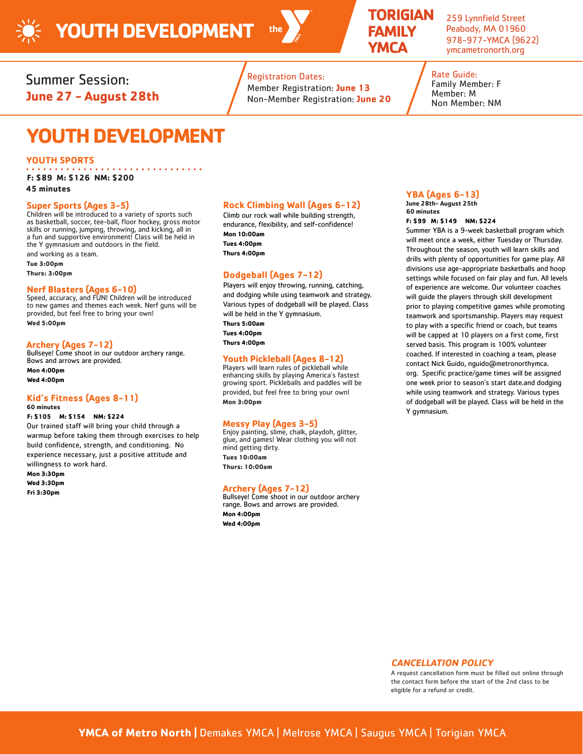

. . . . . . . . .

# **TORIGIAN FAMILY YMCA**

259 Lynnfield Street Peabody, MA 01960 978-977-YMCA (9622) ymcametronorth.org

Summer Session: **June 27 - August 28th**

# Registration Dates:

Member Registration: **June 13** Non-Member Registration: **June 20** Rate Guide: Family Member: F Member: M Non Member: NM

# **YOUTH DEVELOPMENT**

#### **YOUTH SPORTS**

**F: \$89 M: \$126 NM: \$200**

**45 minutes**

**Super Sports (Ages 3-5)** Children will be introduced to a variety of sports such as basketball, soccer, tee-ball, floor hockey, gross motor skills or running, jumping, throwing, and kicking, all in a fun and supportive environment! Class will be held in the Y gymnasium and outdoors in the field.

and working as a team. **Tue 3:00pm**

**Thurs: 3:00pm**

# **Nerf Blasters (Ages 6-10)**

Speed, accuracy, and FUN! Children will be introduced to new games and themes each week. Nerf guns will be provided, but feel free to bring your own! **Wed 5:00pm**

# **Archery (Ages 7-12)**

Bullseye! Come shoot in our outdoor archery range. Bows and arrows are provided.

**Mon 4:00pm Wed 4:00pm**

# **Kid's Fitness (Ages 8-11)**

# **60 minutes**

#### **F: \$105 M: \$154 NM: \$224**

Our trained staff will bring your child through a warmup before taking them through exercises to help build confidence, strength, and conditioning. No experience necessary, just a positive attitude and willingness to work hard.

**Mon 3:30pm Wed 3:30pm Fri 3:30pm**

## **Rock Climbing Wall (Ages 6-12)**

Climb our rock wall while building strength, endurance, flexibility, and self-confidence! **Mon 10:00am Tues 4:00pm Thurs 4:00pm** 

# **Dodgeball (Ages 7-12)**

Players will enjoy throwing, running, catching, and dodging while using teamwork and strategy. Various types of dodgeball will be played. Class will be held in the Y gymnasium. **Thurs 5:00am Tues 4:00pm Thurs 4:00pm** 

# **Youth Pickleball (Ages 8-12)**

Players will learn rules of pickleball while enhancing skills by playing America's fastest growing sport. Pickleballs and paddles will be provided, but feel free to bring your own! **Mon 3:00pm**

# **Messy Play (Ages 3-5)**

Enjoy painting, slime, chalk, playdoh, glitter, glue, and games! Wear clothing you will not mind getting dirty. **Tues 10:00am Thurs: 10:00am**

# **Archery (Ages 7-12)**

Bullseye! Come shoot in our outdoor archery range. Bows and arrows are provided. **Mon 4:00pm Wed 4:00pm**

# **YBA (Ages 6-13)**

**June 28th- August 25th 60 minutes F: \$99 M: \$149 NM: \$224**

Summer YBA is a 9-week basketball program which will meet once a week, either Tuesday or Thursday. Throughout the season, youth will learn skills and drills with plenty of opportunities for game play. All divisions use age-appropriate basketballs and hoop settings while focused on fair play and fun. All levels of experience are welcome. Our volunteer coaches will guide the players through skill development prior to playing competitive games while promoting teamwork and sportsmanship. Players may request to play with a specific friend or coach, but teams will be capped at 10 players on a first come, first served basis. This program is 100% volunteer coached. If interested in coaching a team, please contact Nick Guido, nguido@metronorthymca. org. Specific practice/game times will be assigned one week prior to season's start date.and dodging while using teamwork and strategy. Various types of dodgeball will be played. Class will be held in the Y gymnasium.

#### **CANCELLATION POLICY**

A request cancellation form must be filled out online through the contact form before the start of the 2nd class to be eligible for a refund or credit.